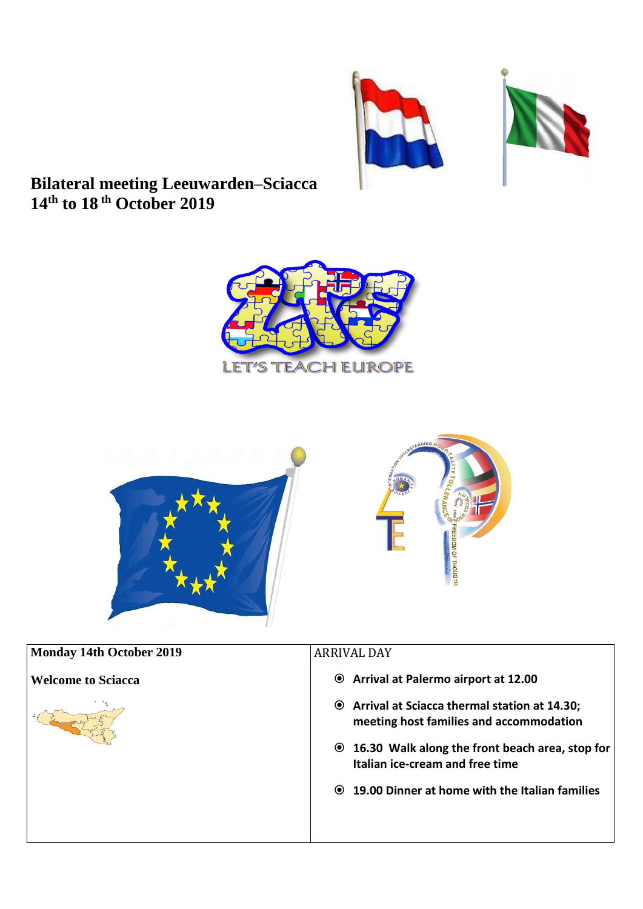



## **Bilateral meeting Leeuwarden–Sciacca 14 th to 18 th October 2019**





| <b>Monday 14th October 2019</b> | <b>ARRIVAL DAY</b>                                                                               |
|---------------------------------|--------------------------------------------------------------------------------------------------|
| <b>Welcome to Sciacca</b>       | <b>■</b> Arrival at Palermo airport at 12.00                                                     |
|                                 | <b>■</b> Arrival at Sciacca thermal station at 14.30;<br>meeting host families and accommodation |
|                                 | ◉ 16.30 Walk along the front beach area, stop for<br>Italian ice-cream and free time             |
|                                 | <b>◎ 19.00 Dinner at home with the Italian families</b>                                          |
|                                 |                                                                                                  |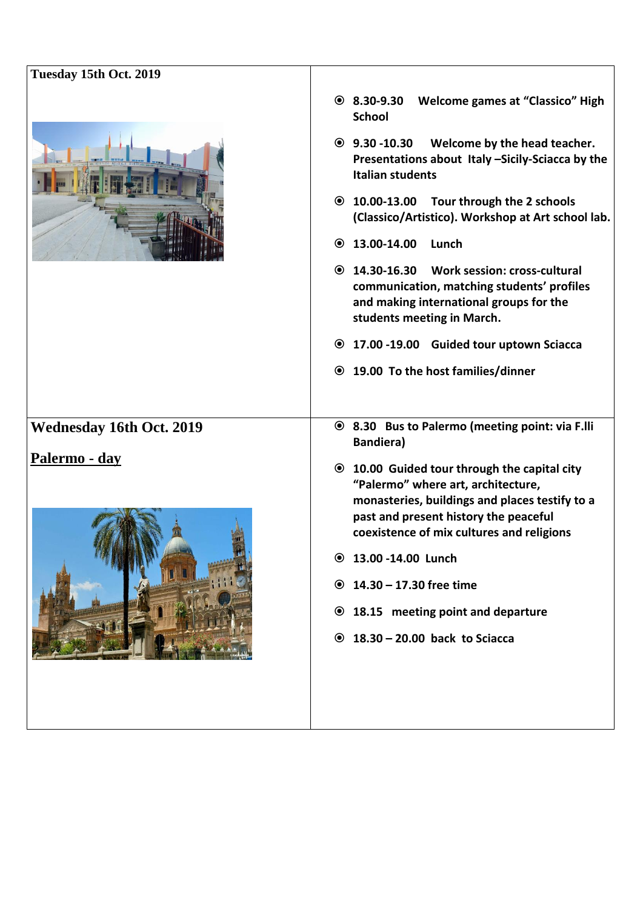| Tuesday 15th Oct. 2019          |                                                                                                                                                                                                                                   |
|---------------------------------|-----------------------------------------------------------------------------------------------------------------------------------------------------------------------------------------------------------------------------------|
|                                 | $\odot$ 8.30-9.30<br><b>Welcome games at "Classico" High</b><br><b>School</b>                                                                                                                                                     |
|                                 | $\odot$ 9.30 -10.30<br>Welcome by the head teacher.<br>Presentations about Italy -Sicily-Sciacca by the<br><b>Italian students</b>                                                                                                |
|                                 | Tour through the 2 schools<br>$\odot$ 10.00-13.00<br>(Classico/Artistico). Workshop at Art school lab.                                                                                                                            |
|                                 | 13.00-14.00<br>Lunch<br>$\odot$                                                                                                                                                                                                   |
|                                 | ◎ 14.30-16.30 Work session: cross-cultural<br>communication, matching students' profiles<br>and making international groups for the<br>students meeting in March.                                                                 |
|                                 | ◎ 17.00 -19.00 Guided tour uptown Sciacca                                                                                                                                                                                         |
|                                 | ● 19.00 To the host families/dinner                                                                                                                                                                                               |
|                                 |                                                                                                                                                                                                                                   |
| <b>Wednesday 16th Oct. 2019</b> | ◉ 8.30 Bus to Palermo (meeting point: via F.lli<br><b>Bandiera)</b>                                                                                                                                                               |
| Palermo - day                   | <b>◎ 10.00 Guided tour through the capital city</b><br>"Palermo" where art, architecture,<br>monasteries, buildings and places testify to a<br>past and present history the peaceful<br>coexistence of mix cultures and religions |
|                                 | <b>◎ 13.00 -14.00 Lunch</b>                                                                                                                                                                                                       |
|                                 | <b>◎ 14.30 - 17.30 free time</b>                                                                                                                                                                                                  |
|                                 | ◉ 18.15 meeting point and departure                                                                                                                                                                                               |
|                                 | $\odot$ 18.30 - 20.00 back to Sciacca                                                                                                                                                                                             |
|                                 |                                                                                                                                                                                                                                   |
|                                 |                                                                                                                                                                                                                                   |
|                                 |                                                                                                                                                                                                                                   |